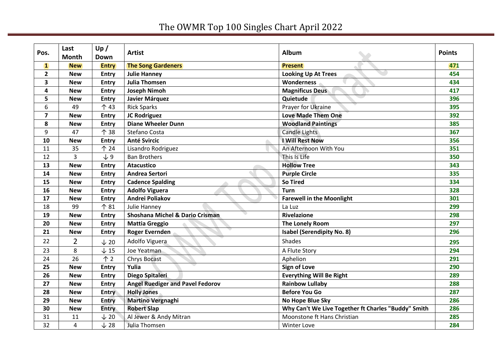## The OWMR Top 100 Singles Chart April 2022

| Pos.                    | Last<br><b>Month</b> | Up /<br>Down    | <b>Artist</b>                           | Album                                               | <b>Points</b> |
|-------------------------|----------------------|-----------------|-----------------------------------------|-----------------------------------------------------|---------------|
| $\mathbf{1}$            | <b>New</b>           | <b>Entry</b>    | <b>The Song Gardeners</b>               | <b>Present</b>                                      | 471           |
| $\mathbf{2}$            | <b>New</b>           | <b>Entry</b>    | <b>Julie Hanney</b>                     | <b>Looking Up At Trees</b>                          | 454           |
| 3                       | <b>New</b>           | <b>Entry</b>    | <b>Julia Thomsen</b>                    | Wonderness                                          | 434           |
| 4                       | <b>New</b>           | <b>Entry</b>    | <b>Joseph Nimoh</b>                     | <b>Magnificus Deus</b>                              | 417           |
| 5                       | <b>New</b>           | <b>Entry</b>    | Javier Márquez                          | Quietude                                            | 396           |
| 6                       | 49                   | 个 43            | <b>Rick Sparks</b>                      | Prayer for Ukraine                                  | 395           |
| $\overline{\mathbf{z}}$ | <b>New</b>           | <b>Entry</b>    | JC Rodriguez                            | <b>Love Made Them One</b>                           | 392           |
| 8                       | <b>New</b>           | <b>Entry</b>    | <b>Diane Wheeler Dunn</b>               | <b>Woodland Paintings</b>                           | 385           |
| 9                       | 47                   | 个 38            | Stefano Costa                           | <b>Candle Lights</b>                                | 367           |
| 10                      | <b>New</b>           | <b>Entry</b>    | <b>Anté Svircic</b>                     | I Will Rest Now                                     | 356           |
| 11                      | 35                   | 个 24            | Lisandro Rodriguez                      | An Afternoon With You                               | 351           |
| 12                      | 3                    | $\sqrt{9}$      | <b>Ban Brothers</b>                     | This Is Life                                        | 350           |
| 13                      | <b>New</b>           | <b>Entry</b>    | <b>Atacustico</b>                       | <b>Hollow Tree</b>                                  | 343           |
| 14                      | <b>New</b>           | <b>Entry</b>    | <b>Andrea Sertori</b>                   | <b>Purple Circle</b>                                | 335           |
| 15                      | <b>New</b>           | <b>Entry</b>    | <b>Cadence Spalding</b>                 | <b>So Tired</b>                                     | 334           |
| 16                      | <b>New</b>           | <b>Entry</b>    | <b>Adolfo Viguera</b>                   | <b>Turn</b>                                         | 328           |
| 17                      | <b>New</b>           | <b>Entry</b>    | Andrei Poliakov                         | <b>Farewell in the Moonlight</b>                    | 301           |
| 18                      | 99                   | 个 81            | Julie Hanney                            | La Luz                                              | 299           |
| 19                      | <b>New</b>           | <b>Entry</b>    | Shoshana Michel & Dario Crisman         | Rivelazione                                         | 298           |
| 20                      | <b>New</b>           | <b>Entry</b>    | <b>Mattia Greggio</b>                   | The Lonely Room                                     | 297           |
| 21                      | <b>New</b>           | <b>Entry</b>    | <b>Roger Evernden</b>                   | <b>Isabel (Serendipity No. 8)</b>                   | 296           |
| 22                      | $\overline{2}$       | $\downarrow$ 20 | Adolfo Viguera                          | <b>Shades</b>                                       | 295           |
| 23                      | 8                    | $\downarrow$ 15 | Joe Yeatman                             | A Flute Story                                       | 294           |
| 24                      | 26                   | $\uparrow$ 2    | <b>Chrys Bocast</b>                     | Aphelion                                            | 291           |
| 25                      | <b>New</b>           | <b>Entry</b>    | Yulia                                   | <b>Sign of Love</b>                                 | 290           |
| 26                      | <b>New</b>           | <b>Entry</b>    | Diego Spitaleri                         | <b>Everything Will Be Right</b>                     | 289           |
| 27                      | <b>New</b>           | Entry           | <b>Angel Ruediger and Pavel Fedorov</b> | <b>Rainbow Lullaby</b>                              | 288           |
| 28                      | <b>New</b>           | <b>Entry</b>    | <b>Holly Jones</b>                      | <b>Before You Go</b>                                | 287           |
| 29                      | <b>New</b>           | <b>Entry</b>    | <b>Martino Vergnaghi</b>                | No Hope Blue Sky                                    | 286           |
| 30                      | <b>New</b>           | Entry           | <b>Robert Slap</b>                      | Why Can't We Live Together ft Charles "Buddy" Smith | 286           |
| 31                      | 11                   | $\downarrow$ 20 | Al Jewer & Andy Mitran                  | Moonstone ft Hans Christian                         | 285           |
| 32                      | 4                    | $\downarrow$ 28 | Julia Thomsen                           | <b>Winter Love</b>                                  | 284           |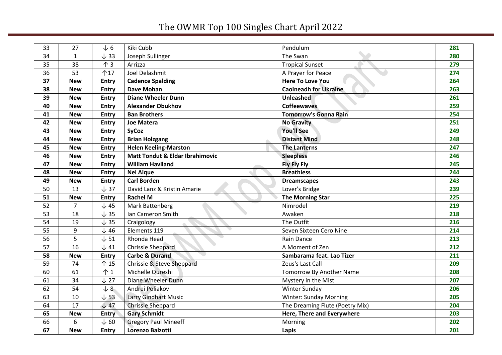## The OWMR Top 100 Singles Chart April 2022

| 33 | 27             | $\sqrt{6}$      | Kiki Cubb                                  | Pendulum                          | 281 |
|----|----------------|-----------------|--------------------------------------------|-----------------------------------|-----|
| 34 | $\mathbf{1}$   | $\downarrow$ 33 | Joseph Sullinger                           | The Swan                          | 280 |
| 35 | 38             | $\uparrow$ 3    | Arrizza                                    | <b>Tropical Sunset</b>            | 279 |
| 36 | 53             | 个17             | Joel Delashmit                             | A Prayer for Peace                | 274 |
| 37 | <b>New</b>     | <b>Entry</b>    | <b>Cadence Spalding</b>                    | <b>Here To Love You</b>           | 264 |
| 38 | <b>New</b>     | <b>Entry</b>    | <b>Dave Mohan</b>                          | <b>Caoineadh for Ukraine</b>      | 263 |
| 39 | <b>New</b>     | <b>Entry</b>    | <b>Diane Wheeler Dunn</b>                  | Unleashed                         | 261 |
| 40 | <b>New</b>     | <b>Entry</b>    | <b>Alexander Obukhov</b>                   | <b>Coffeewaves</b>                | 259 |
| 41 | <b>New</b>     | Entry           | <b>Ban Brothers</b>                        | <b>Tomorrow's Gonna Rain</b>      | 254 |
| 42 | <b>New</b>     | Entry           | <b>Joe Matera</b>                          | <b>No Gravity</b>                 | 251 |
| 43 | <b>New</b>     | <b>Entry</b>    | <b>SyCoz</b>                               | <b>You'll See</b>                 | 249 |
| 44 | <b>New</b>     | <b>Entry</b>    | <b>Brian Holzgang</b>                      | <b>Distant Mind</b>               | 248 |
| 45 | <b>New</b>     | <b>Entry</b>    | <b>Helen Keeling-Marston</b>               | <b>The Lanterns</b>               | 247 |
| 46 | <b>New</b>     | <b>Entry</b>    | <b>Matt Tondut &amp; Eldar Ibrahimovic</b> | <b>Sleepless</b>                  | 246 |
| 47 | <b>New</b>     | <b>Entry</b>    | <b>William Haviland</b>                    | <b>Fly Fly Fly</b>                | 245 |
| 48 | <b>New</b>     | <b>Entry</b>    | <b>Nel Aique</b>                           | <b>Breathless</b>                 | 244 |
| 49 | <b>New</b>     | <b>Entry</b>    | <b>Carl Borden</b>                         | <b>Dreamscapes</b>                | 243 |
| 50 | 13             | $\downarrow$ 37 | David Lanz & Kristin Amarie                | Lover's Bridge                    | 239 |
| 51 | <b>New</b>     | <b>Entry</b>    | <b>Rachel M</b>                            | <b>The Morning Star</b>           | 225 |
| 52 | $\overline{7}$ | $\downarrow$ 45 | Mark Battenberg                            | Nimrodel                          | 219 |
| 53 | 18             | $\downarrow$ 35 | Ian Cameron Smith                          | Awaken                            | 218 |
| 54 | 19             | $\downarrow$ 35 | Craigology                                 | The Outfit                        | 216 |
| 55 | 9              | $\downarrow$ 46 | Elements 119                               | Seven Sixteen Cero Nine           | 214 |
| 56 | 5              | $\downarrow$ 51 | Rhonda Head                                | Rain Dance                        | 213 |
| 57 | 16             | $\downarrow$ 41 | Chrissie Sheppard                          | A Moment of Zen                   | 212 |
| 58 | <b>New</b>     | <b>Entry</b>    | <b>Carbe &amp; Durand</b>                  | Sambarama feat. Lao Tizer         | 211 |
| 59 | 74             | 个 15            | Chrissie & Steve Sheppard                  | Zeus's Last Call                  | 209 |
| 60 | 61             | $\uparrow$ 1    | Michelle Qureshi                           | Tomorrow By Another Name          | 208 |
| 61 | 34             | $\downarrow$ 27 | Diane Wheeler Dunn                         | Mystery in the Mist               | 207 |
| 62 | 54             | $\sqrt{8}$      | Andrei Poliakov                            | <b>Winter Sunday</b>              | 206 |
| 63 | 10             | $\sqrt{53}$     | <b>Larry Gindhart Music</b>                | <b>Winter: Sunday Morning</b>     | 205 |
| 64 | 17             | $\sqrt{47}$     | Chrissie Sheppard                          | The Dreaming Flute (Poetry Mix)   | 204 |
| 65 | <b>New</b>     | <b>Entry</b>    | <b>Gary Schmidt</b>                        | <b>Here, There and Everywhere</b> | 203 |
| 66 | 6              | $\downarrow$ 60 | <b>Gregory Paul Mineeff</b>                | Morning                           | 202 |
| 67 | <b>New</b>     | <b>Entry</b>    | Lorenzo Balzotti                           | Lapis                             | 201 |